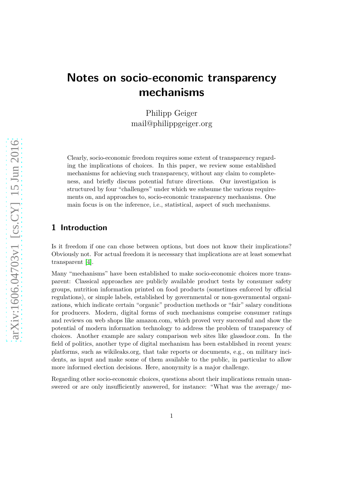# **Notes on socio-economic transparency mechanisms**

Philipp Geiger mail@philippgeiger.org

Clearly, socio-economic freedom requires some extent of transparency regarding the implications of choices. In this paper, we review some established mechanisms for achieving such transparency, without any claim to completeness, and briefly discuss potential future directions. Our investigation is structured by four "challenges" under which we subsume the various requirements on, and approaches to, socio-economic transparency mechanisms. One main focus is on the inference, i.e., statistical, aspect of such mechanisms.

### **1 Introduction**

Is it freedom if one can chose between options, but does not know their implications? Obviously not. For actual freedom it is necessary that implications are at least somewhat transparent [\[4\]](#page-5-0).

Many "mechanisms" have been established to make socio-economic choices more transparent: Classical approaches are publicly available product tests by consumer safety groups, nutrition information printed on food products (sometimes enforced by official regulations), or simple labels, established by governmental or non-governmental organizations, which indicate certain "organic" production methods or "fair" salary conditions for producers. Modern, digital forms of such mechanisms comprise consumer ratings and reviews on web shops like amazon.com, which proved very successful and show the potential of modern information technology to address the problem of transparency of choices. Another example are salary comparison web sites like glassdoor.com. In the field of politics, another type of digital mechanism has been established in recent years: platforms, such as wikileaks.org, that take reports or documents, e.g., on military incidents, as input and make some of them available to the public, in particular to allow more informed election decisions. Here, anonymity is a major challenge.

Regarding other socio-economic choices, questions about their implications remain unanswered or are only insufficiently answered, for instance: "What was the average/ me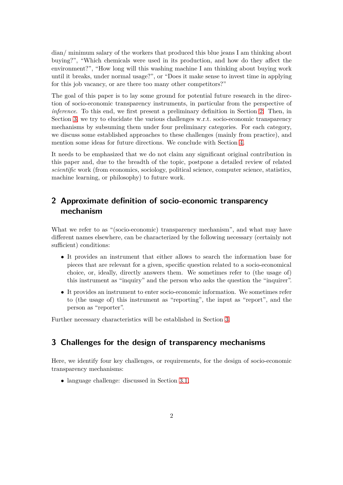dian/ minimum salary of the workers that produced this blue jeans I am thinking about buying?", "Which chemicals were used in its production, and how do they affect the environment?", "How long will this washing machine I am thinking about buying work until it breaks, under normal usage?", or "Does it make sense to invest time in applying for this job vacancy, or are there too many other competitors?"

The goal of this paper is to lay some ground for potential future research in the direction of socio-economic transparency instruments, in particular from the perspective of *inference*. To this end, we first present a preliminary definition in Section [2.](#page-1-0) Then, in Section [3,](#page-1-1) we try to elucidate the various challenges w.r.t. socio-economic transparency mechanisms by subsuming them under four preliminary categories. For each category, we discuss some established approaches to these challenges (mainly from practice), and mention some ideas for future directions. We conclude with Section [4.](#page-4-0)

It needs to be emphasized that we do not claim any significant original contribution in this paper and, due to the breadth of the topic, postpone a detailed review of related *scientific* work (from economics, sociology, political science, computer science, statistics, machine learning, or philosophy) to future work.

# <span id="page-1-0"></span>**2 Approximate definition of socio-economic transparency mechanism**

What we refer to as "(socio-economic) transparency mechanism", and what may have different names elsewhere, can be characterized by the following necessary (certainly not sufficient) conditions:

- It provides an instrument that either allows to search the information base for pieces that are relevant for a given, specific question related to a socio-economical choice, or, ideally, directly answers them. We sometimes refer to (the usage of) this instrument as "inquiry" and the person who asks the question the "inquirer".
- It provides an instrument to enter socio-economic information. We sometimes refer to (the usage of) this instrument as "reporting", the input as "report", and the person as "reporter".

<span id="page-1-1"></span>Further necessary characteristics will be established in Section [3.](#page-1-1)

# **3 Challenges for the design of transparency mechanisms**

Here, we identify four key challenges, or requirements, for the design of socio-economic transparency mechanisms:

• language challenge: discussed in Section [3.1,](#page-2-0)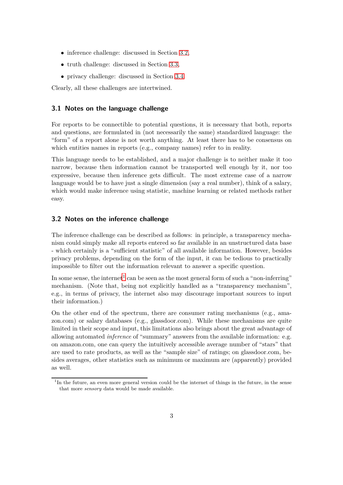- inference challenge: discussed in Section [3.2,](#page-2-1)
- truth challenge: discussed in Section [3.3,](#page-3-0)
- privacy challenge: discussed in Section [3.4.](#page-4-1)

<span id="page-2-0"></span>Clearly, all these challenges are intertwined.

#### **3.1 Notes on the language challenge**

For reports to be connectible to potential questions, it is necessary that both, reports and questions, are formulated in (not necessarily the same) standardized language: the "form" of a report alone is not worth anything. At least there has to be consensus on which entities names in reports (e.g., company names) refer to in reality.

This language needs to be established, and a major challenge is to neither make it too narrow, because then information cannot be transported well enough by it, nor too expressive, because then inference gets difficult. The most extreme case of a narrow language would be to have just a single dimension (say a real number), think of a salary, which would make inference using statistic, machine learning or related methods rather easy.

#### <span id="page-2-1"></span>**3.2 Notes on the inference challenge**

The inference challenge can be described as follows: in principle, a transparency mechanism could simply make all reports entered so far available in an unstructured data base - which certainly is a "sufficient statistic" of all available information. However, besides privacy problems, depending on the form of the input, it can be tedious to practically impossible to filter out the information relevant to answer a specific question.

In some sense, the internet<sup>[1](#page-2-2)</sup> can be seen as the most general form of such a "non-inferring" mechanism. (Note that, being not explicitly handled as a "transparency mechanism", e.g., in terms of privacy, the internet also may discourage important sources to input their information.)

On the other end of the spectrum, there are consumer rating mechanisms (e.g., amazon.com) or salary databases (e.g., glassdoor.com). While these mechanisms are quite limited in their scope and input, this limitations also brings about the great advantage of allowing automated *inference* of "summary" answers from the available information: e.g. on amazon.com, one can query the intuitively accessible average number of "stars" that are used to rate products, as well as the "sample size" of ratings; on glassdoor.com, besides averages, other statistics such as minimum or maximum are (apparently) provided as well.

<span id="page-2-2"></span><sup>&</sup>lt;sup>1</sup>In the future, an even more general version could be the internet of things in the future, in the sense that more *sensory* data would be made available.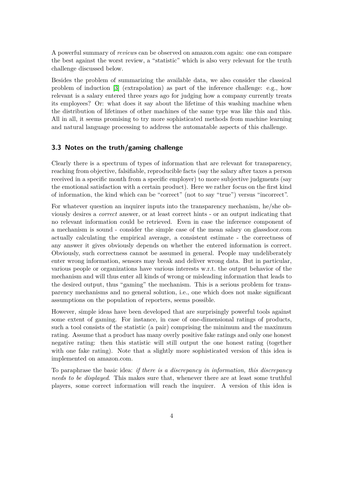A powerful summary of *reviews* can be observed on amazon.com again: one can compare the best against the worst review, a "statistic" which is also very relevant for the truth challenge discussed below.

Besides the problem of summarizing the available data, we also consider the classical problem of induction [\[3\]](#page-5-1) (extrapolation) as part of the inference challenge: e.g., how relevant is a salary entered three years ago for judging how a company currently treats its employees? Or: what does it say about the lifetime of this washing machine when the distribution of lifetimes of other machines of the same type was like this and this. All in all, it seems promising to try more sophisticated methods from machine learning and natural language processing to address the automatable aspects of this challenge.

#### <span id="page-3-0"></span>**3.3 Notes on the truth/gaming challenge**

Clearly there is a spectrum of types of information that are relevant for transparency, reaching from objective, falsifiable, reproducible facts (say the salary after taxes a person received in a specific month from a specific employer) to more subjective judgments (say the emotional satisfaction with a certain product). Here we rather focus on the first kind of information, the kind which can be "correct" (not to say "true") versus "incorrect".

For whatever question an inquirer inputs into the transparency mechanism, he/she obviously desires a *correct* answer, or at least correct hints - or an output indicating that no relevant information could be retrieved. Even in case the inference component of a mechanism is sound - consider the simple case of the mean salary on glassdoor.com actually calculating the empirical average, a consistent estimate - the correctness of any answer it gives obviously depends on whether the entered information is correct. Obviously, such correctness cannot be assumed in general. People may undeliberately enter wrong information, sensors may break and deliver wrong data. But in particular, various people or organizations have various interests w.r.t. the output behavior of the mechanism and will thus enter all kinds of wrong or misleading information that leads to the desired output, thus "gaming" the mechanism. This is a serious problem for transparency mechanisms and no general solution, i.e., one which does not make significant assumptions on the population of reporters, seems possible.

However, simple ideas have been developed that are surprisingly powerful tools against some extent of gaming. For instance, in case of one-dimensional ratings of products, such a tool consists of the statistic (a pair) comprising the minimum and the maximum rating. Assume that a product has many overly positive fake ratings and only one honest negative rating: then this statistic will still output the one honest rating (together with one fake rating). Note that a slightly more sophisticated version of this idea is implemented on amazon.com.

To paraphrase the basic idea: *if there is a discrepancy in information, this discrepancy needs to be displayed*. This makes sure that, whenever there are at least some truthful players, some correct information will reach the inquirer. A version of this idea is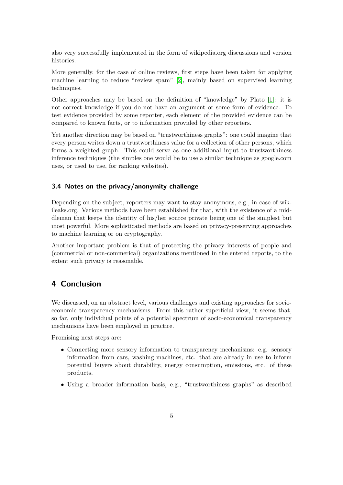also very successfully implemented in the form of wikipedia.org discussions and version histories.

More generally, for the case of online reviews, first steps have been taken for applying machine learning to reduce "review spam" [\[2\]](#page-5-2), mainly based on supervised learning techniques.

Other approaches may be based on the definition of "knowledge" by Plato [\[1\]](#page-5-3): it is not correct knowledge if you do not have an argument or some form of evidence. To test evidence provided by some reporter, each element of the provided evidence can be compared to known facts, or to information provided by other reporters.

Yet another direction may be based on "trustworthiness graphs": one could imagine that every person writes down a trustworthiness value for a collection of other persons, which forms a weighted graph. This could serve as one additional input to trustworthiness inference techniques (the simples one would be to use a similar technique as google.com uses, or used to use, for ranking websites).

#### <span id="page-4-1"></span>**3.4 Notes on the privacy/anonymity challenge**

Depending on the subject, reporters may want to stay anonymous, e.g., in case of wikileaks.org. Various methods have been established for that, with the existence of a middleman that keeps the identity of his/her source private being one of the simplest but most powerful. More sophisticated methods are based on privacy-preserving approaches to machine learning or on cryptography.

Another important problem is that of protecting the privacy interests of people and (commercial or non-commerical) organizations mentioned in the entered reports, to the extent such privacy is reasonable.

# <span id="page-4-0"></span>**4 Conclusion**

We discussed, on an abstract level, various challenges and existing approaches for socioeconomic transparency mechanisms. From this rather superficial view, it seems that, so far, only individual points of a potential spectrum of socio-economical transparency mechanisms have been employed in practice.

Promising next steps are:

- Connecting more sensory information to transparency mechanisms: e.g. sensory information from cars, washing machines, etc. that are already in use to inform potential buyers about durability, energy consumption, emissions, etc. of these products.
- Using a broader information basis, e.g., "trustworthiness graphs" as described